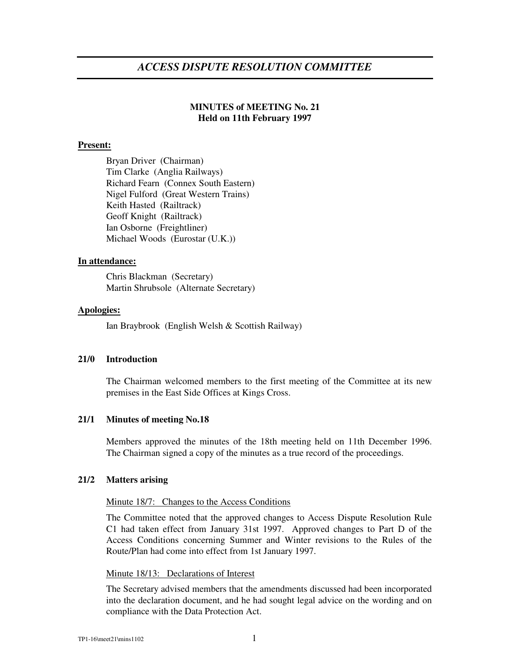# *ACCESS DISPUTE RESOLUTION COMMITTEE*

# **MINUTES of MEETING No. 21 Held on 11th February 1997**

# **Present:**

Bryan Driver (Chairman) Tim Clarke (Anglia Railways) Richard Fearn (Connex South Eastern) Nigel Fulford (Great Western Trains) Keith Hasted (Railtrack) Geoff Knight (Railtrack) Ian Osborne (Freightliner) Michael Woods (Eurostar (U.K.))

## **In attendance:**

Chris Blackman (Secretary) Martin Shrubsole (Alternate Secretary)

### **Apologies:**

Ian Braybrook (English Welsh & Scottish Railway)

### **21/0 Introduction**

The Chairman welcomed members to the first meeting of the Committee at its new premises in the East Side Offices at Kings Cross.

# **21/1 Minutes of meeting No.18**

Members approved the minutes of the 18th meeting held on 11th December 1996. The Chairman signed a copy of the minutes as a true record of the proceedings.

### **21/2 Matters arising**

### Minute 18/7: Changes to the Access Conditions

The Committee noted that the approved changes to Access Dispute Resolution Rule C1 had taken effect from January 31st 1997. Approved changes to Part D of the Access Conditions concerning Summer and Winter revisions to the Rules of the Route/Plan had come into effect from 1st January 1997.

# Minute 18/13: Declarations of Interest

The Secretary advised members that the amendments discussed had been incorporated into the declaration document, and he had sought legal advice on the wording and on compliance with the Data Protection Act.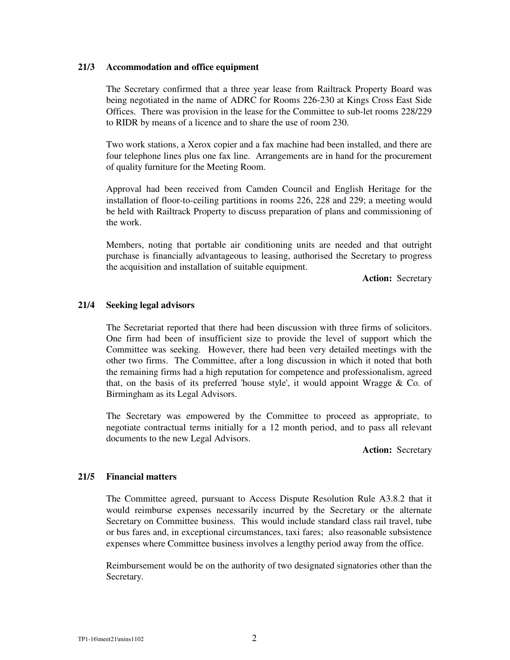### **21/3 Accommodation and office equipment**

The Secretary confirmed that a three year lease from Railtrack Property Board was being negotiated in the name of ADRC for Rooms 226-230 at Kings Cross East Side Offices. There was provision in the lease for the Committee to sub-let rooms 228/229 to RIDR by means of a licence and to share the use of room 230.

Two work stations, a Xerox copier and a fax machine had been installed, and there are four telephone lines plus one fax line. Arrangements are in hand for the procurement of quality furniture for the Meeting Room.

Approval had been received from Camden Council and English Heritage for the installation of floor-to-ceiling partitions in rooms 226, 228 and 229; a meeting would be held with Railtrack Property to discuss preparation of plans and commissioning of the work.

Members, noting that portable air conditioning units are needed and that outright purchase is financially advantageous to leasing, authorised the Secretary to progress the acquisition and installation of suitable equipment.

**Action:** Secretary

# **21/4 Seeking legal advisors**

The Secretariat reported that there had been discussion with three firms of solicitors. One firm had been of insufficient size to provide the level of support which the Committee was seeking. However, there had been very detailed meetings with the other two firms. The Committee, after a long discussion in which it noted that both the remaining firms had a high reputation for competence and professionalism, agreed that, on the basis of its preferred 'house style', it would appoint Wragge  $\&$  Co. of Birmingham as its Legal Advisors.

The Secretary was empowered by the Committee to proceed as appropriate, to negotiate contractual terms initially for a 12 month period, and to pass all relevant documents to the new Legal Advisors.

**Action:** Secretary

## **21/5 Financial matters**

The Committee agreed, pursuant to Access Dispute Resolution Rule A3.8.2 that it would reimburse expenses necessarily incurred by the Secretary or the alternate Secretary on Committee business. This would include standard class rail travel, tube or bus fares and, in exceptional circumstances, taxi fares; also reasonable subsistence expenses where Committee business involves a lengthy period away from the office.

Reimbursement would be on the authority of two designated signatories other than the Secretary.